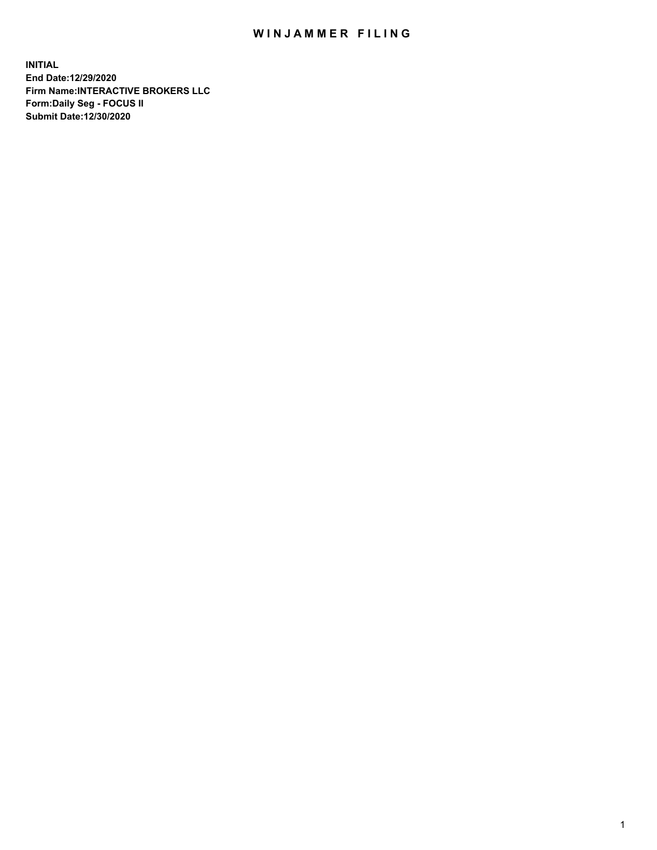## WIN JAMMER FILING

**INITIAL End Date:12/29/2020 Firm Name:INTERACTIVE BROKERS LLC Form:Daily Seg - FOCUS II Submit Date:12/30/2020**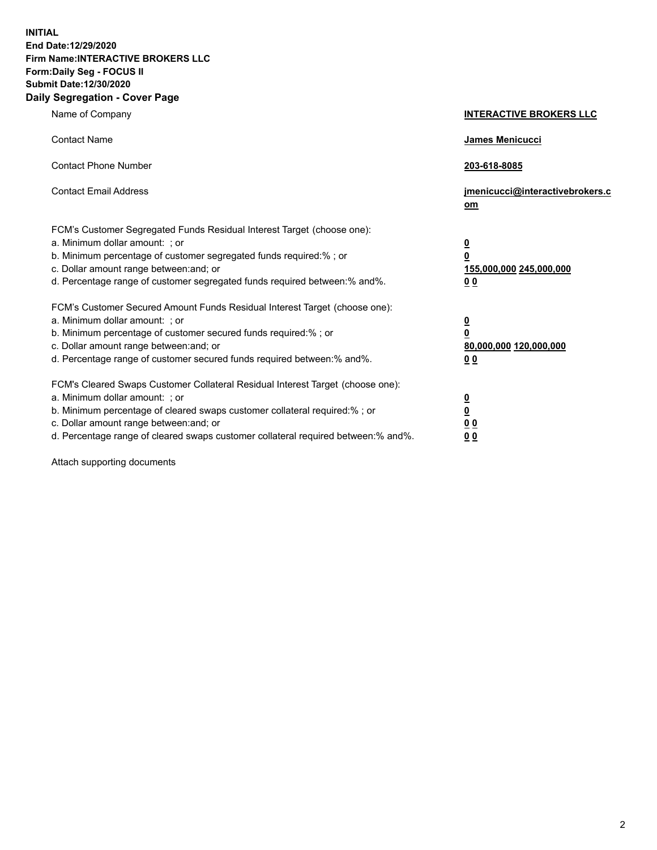**INITIAL End Date:12/29/2020 Firm Name:INTERACTIVE BROKERS LLC Form:Daily Seg - FOCUS II Submit Date:12/30/2020 Daily Segregation - Cover Page**

| Name of Company                                                                                                                                                                                                                                                                                                                | <b>INTERACTIVE BROKERS LLC</b>                                                                  |  |
|--------------------------------------------------------------------------------------------------------------------------------------------------------------------------------------------------------------------------------------------------------------------------------------------------------------------------------|-------------------------------------------------------------------------------------------------|--|
| <b>Contact Name</b>                                                                                                                                                                                                                                                                                                            | James Menicucci                                                                                 |  |
| <b>Contact Phone Number</b>                                                                                                                                                                                                                                                                                                    | 203-618-8085                                                                                    |  |
| <b>Contact Email Address</b>                                                                                                                                                                                                                                                                                                   | jmenicucci@interactivebrokers.c<br>om                                                           |  |
| FCM's Customer Segregated Funds Residual Interest Target (choose one):<br>a. Minimum dollar amount: ; or<br>b. Minimum percentage of customer segregated funds required:% ; or<br>c. Dollar amount range between: and; or<br>d. Percentage range of customer segregated funds required between:% and%.                         | $\overline{\mathbf{0}}$<br>$\overline{\mathbf{0}}$<br>155,000,000 245,000,000<br>0 <sub>0</sub> |  |
| FCM's Customer Secured Amount Funds Residual Interest Target (choose one):<br>a. Minimum dollar amount: ; or<br>b. Minimum percentage of customer secured funds required:% ; or<br>c. Dollar amount range between: and; or<br>d. Percentage range of customer secured funds required between:% and%.                           | <u>0</u><br>$\overline{\mathbf{0}}$<br>80,000,000 120,000,000<br>0 <sub>0</sub>                 |  |
| FCM's Cleared Swaps Customer Collateral Residual Interest Target (choose one):<br>a. Minimum dollar amount: ; or<br>b. Minimum percentage of cleared swaps customer collateral required:% ; or<br>c. Dollar amount range between: and; or<br>d. Percentage range of cleared swaps customer collateral required between:% and%. | $\frac{0}{0}$<br>0 <sub>0</sub><br>0 <sub>0</sub>                                               |  |

Attach supporting documents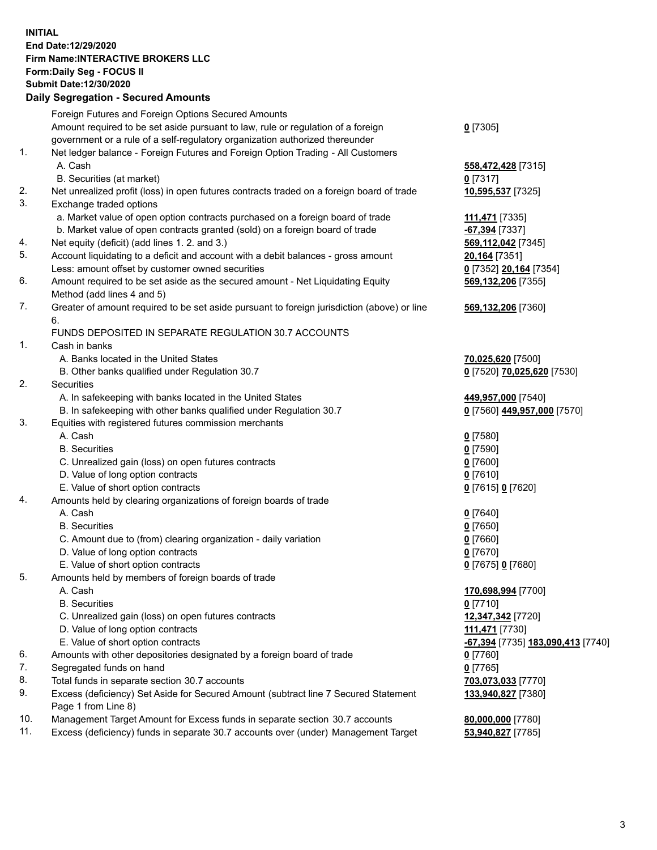**INITIAL End Date:12/29/2020 Firm Name:INTERACTIVE BROKERS LLC Form:Daily Seg - FOCUS II Submit Date:12/30/2020 Daily Segregation - Secured Amounts**

## Foreign Futures and Foreign Options Secured Amounts Amount required to be set aside pursuant to law, rule or regulation of a foreign government or a rule of a self-regulatory organization authorized thereunder **0** [7305] 1. Net ledger balance - Foreign Futures and Foreign Option Trading - All Customers A. Cash **558,472,428** [7315] B. Securities (at market) **0** [7317] 2. Net unrealized profit (loss) in open futures contracts traded on a foreign board of trade **10,595,537** [7325] 3. Exchange traded options a. Market value of open option contracts purchased on a foreign board of trade **111,471** [7335] b. Market value of open contracts granted (sold) on a foreign board of trade **-67,394** [7337] 4. Net equity (deficit) (add lines 1. 2. and 3.) **569,112,042** [7345] 5. Account liquidating to a deficit and account with a debit balances - gross amount **20,164** [7351] Less: amount offset by customer owned securities **0** [7352] **20,164** [7354] 6. Amount required to be set aside as the secured amount - Net Liquidating Equity Method (add lines 4 and 5) **569,132,206** [7355] 7. Greater of amount required to be set aside pursuant to foreign jurisdiction (above) or line 6. **569,132,206** [7360] FUNDS DEPOSITED IN SEPARATE REGULATION 30.7 ACCOUNTS 1. Cash in banks A. Banks located in the United States **70,025,620** [7500] B. Other banks qualified under Regulation 30.7 **0** [7520] **70,025,620** [7530] 2. Securities A. In safekeeping with banks located in the United States **449,957,000** [7540] B. In safekeeping with other banks qualified under Regulation 30.7 **0** [7560] **449,957,000** [7570] 3. Equities with registered futures commission merchants A. Cash **0** [7580] B. Securities **0** [7590] C. Unrealized gain (loss) on open futures contracts **0** [7600] D. Value of long option contracts **0** [7610] E. Value of short option contracts **0** [7615] **0** [7620] 4. Amounts held by clearing organizations of foreign boards of trade A. Cash **0** [7640] B. Securities **0** [7650] C. Amount due to (from) clearing organization - daily variation **0** [7660] D. Value of long option contracts **0** [7670] E. Value of short option contracts **0** [7675] **0** [7680] 5. Amounts held by members of foreign boards of trade A. Cash **170,698,994** [7700] B. Securities **0** [7710] C. Unrealized gain (loss) on open futures contracts **12,347,342** [7720] D. Value of long option contracts **111,471** [7730] E. Value of short option contracts **-67,394** [7735] **183,090,413** [7740] 6. Amounts with other depositories designated by a foreign board of trade **0** [7760] 7. Segregated funds on hand **0** [7765] 8. Total funds in separate section 30.7 accounts **703,073,033** [7770] 9. Excess (deficiency) Set Aside for Secured Amount (subtract line 7 Secured Statement Page 1 from Line 8) **133,940,827** [7380] 10. Management Target Amount for Excess funds in separate section 30.7 accounts **80,000,000** [7780] 11. Excess (deficiency) funds in separate 30.7 accounts over (under) Management Target **53,940,827** [7785]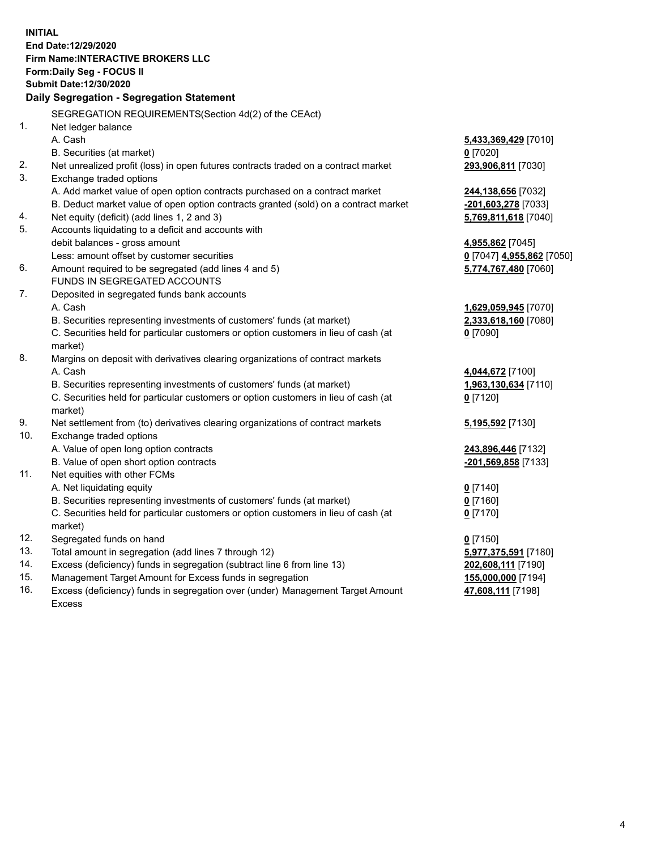**INITIAL End Date:12/29/2020 Firm Name:INTERACTIVE BROKERS LLC Form:Daily Seg - FOCUS II Submit Date:12/30/2020 Daily Segregation - Segregation Statement** SEGREGATION REQUIREMENTS(Section 4d(2) of the CEAct) 1. Net ledger balance A. Cash **5,433,369,429** [7010] B. Securities (at market) **0** [7020] 2. Net unrealized profit (loss) in open futures contracts traded on a contract market **293,906,811** [7030] 3. Exchange traded options A. Add market value of open option contracts purchased on a contract market **244,138,656** [7032] B. Deduct market value of open option contracts granted (sold) on a contract market **-201,603,278** [7033] 4. Net equity (deficit) (add lines 1, 2 and 3) **5,769,811,618** [7040] 5. Accounts liquidating to a deficit and accounts with debit balances - gross amount **4,955,862** [7045] Less: amount offset by customer securities **0** [7047] **4,955,862** [7050] 6. Amount required to be segregated (add lines 4 and 5) **5,774,767,480** [7060] FUNDS IN SEGREGATED ACCOUNTS 7. Deposited in segregated funds bank accounts A. Cash **1,629,059,945** [7070] B. Securities representing investments of customers' funds (at market) **2,333,618,160** [7080] C. Securities held for particular customers or option customers in lieu of cash (at market) **0** [7090] 8. Margins on deposit with derivatives clearing organizations of contract markets A. Cash **4,044,672** [7100] B. Securities representing investments of customers' funds (at market) **1,963,130,634** [7110] C. Securities held for particular customers or option customers in lieu of cash (at market) **0** [7120] 9. Net settlement from (to) derivatives clearing organizations of contract markets **5,195,592** [7130] 10. Exchange traded options A. Value of open long option contracts **243,896,446** [7132] B. Value of open short option contracts **-201,569,858** [7133] 11. Net equities with other FCMs A. Net liquidating equity **0** [7140] B. Securities representing investments of customers' funds (at market) **0** [7160] C. Securities held for particular customers or option customers in lieu of cash (at market) **0** [7170] 12. Segregated funds on hand **0** [7150] 13. Total amount in segregation (add lines 7 through 12) **5,977,375,591** [7180] 14. Excess (deficiency) funds in segregation (subtract line 6 from line 13) **202,608,111** [7190] 15. Management Target Amount for Excess funds in segregation **155,000,000** [7194]

16. Excess (deficiency) funds in segregation over (under) Management Target Amount Excess

**47,608,111** [7198]